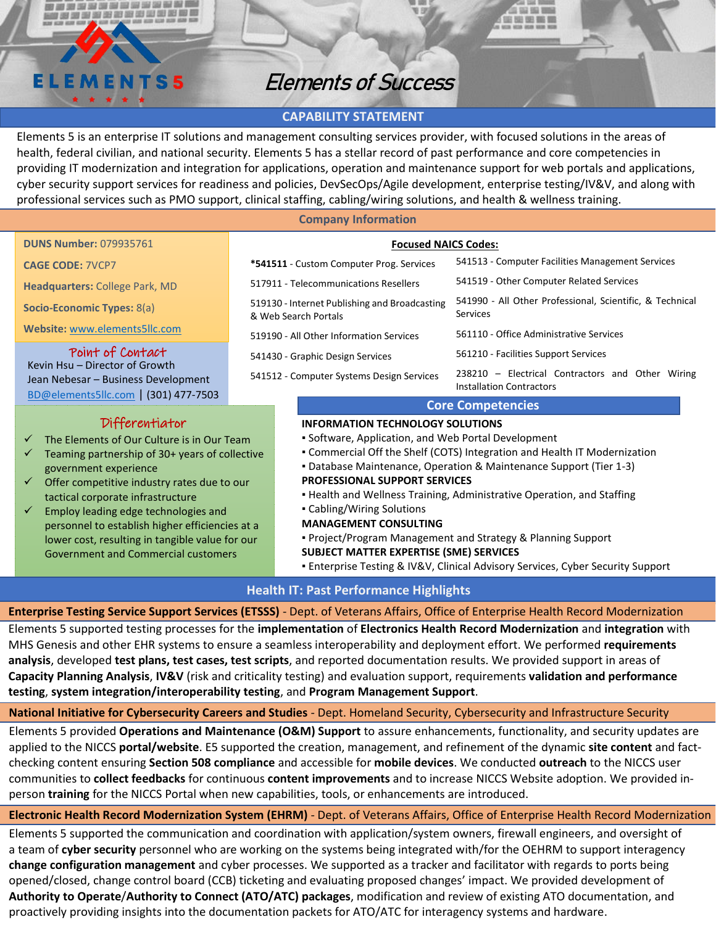# **ELEMENTS5**

AND AND SIGN CAR CAR CAR COMMAND COMMAND CAR CAR CAR CAR CAR CAR CAR CAR

<u>rana papang pang manah sa pang</u>

# Elements of Success

# **CAPABILITY STATEMENT**

Elements 5 is an enterprise IT solutions and management consulting services provider, with focused solutions in the areas of health, federal civilian, and national security. Elements 5 has a stellar record of past performance and core competencies in providing IT modernization and integration for applications, operation and maintenance support for web portals and applications, cyber security support services for readiness and policies, DevSecOps/Agile development, enterprise testing/IV&V, and along with professional services such as PMO support, clinical staffing, cabling/wiring solutions, and health & wellness training.

#### **Company Information**

|  |  | <b>DUNS Number: 079935761</b> |
|--|--|-------------------------------|
|--|--|-------------------------------|

**CAGE CODE:** 7VCP7

**Headquarters:** College Park, MD

**Socio-Economic Types:** 8(a)

**Website:** [www.elements5llc.com](http://www.elements5llc.com/)

# Point of Contact

Kevin Hsu – Director of Growth Jean Nebesar – Business Development [BD@elements5llc.com](mailto:BD@elements5llc.com) | (301) 477-7503

# Differentiator

- The Elements of Our Culture is in Our Team
- Teaming partnership of 30+ years of collective government experience
- Offer competitive industry rates due to our tactical corporate infrastructure
- Employ leading edge technologies and personnel to establish higher efficiencies at a lower cost, resulting in tangible value for our Government and Commercial customers

# **Focused NAICS Codes:**

| *541511 - Custom Computer Prog. Services                              | 541513 - Computer Facilities Management Services                                    |
|-----------------------------------------------------------------------|-------------------------------------------------------------------------------------|
| 517911 - Telecommunications Resellers                                 | 541519 - Other Computer Related Services                                            |
| 519130 - Internet Publishing and Broadcasting<br>& Web Search Portals | 541990 - All Other Professional, Scientific, & Technical<br><b>Services</b>         |
| 519190 - All Other Information Services                               | 561110 - Office Administrative Services                                             |
| 541430 - Graphic Design Services                                      | 561210 - Facilities Support Services                                                |
| 541512 - Computer Systems Design Services                             | 238210 - Electrical Contractors and Other Wiring<br><b>Installation Contractors</b> |

L DEZ REZ 1980A

**THE NET YOR WAS THE** 

# **Core Competencies**

# **INFORMATION TECHNOLOGY SOLUTIONS**

- Software, Application, and Web Portal Development
- Commercial Off the Shelf (COTS) Integration and Health IT Modernization
- Database Maintenance, Operation & Maintenance Support (Tier 1-3) **PROFESSIONAL SUPPORT SERVICES**
- Health and Wellness Training, Administrative Operation, and Staffing
- Cabling/Wiring Solutions
- **MANAGEMENT CONSULTING**

▪ Project/Program Management and Strategy & Planning Support

- **SUBJECT MATTER EXPERTISE (SME) SERVICES**
- **Enterprise Testing & IV&V, Clinical Advisory Services, Cyber Security Support**

# **Health IT: Past Performance Highlights**

**Enterprise Testing Service Support Services (ETSSS)** - Dept. of Veterans Affairs, Office of Enterprise Health Record Modernization

Elements 5 supported testing processes for the **implementation** of **Electronics Health Record Modernization** and **integration** with MHS Genesis and other EHR systems to ensure a seamless interoperability and deployment effort. We performed **requirements analysis**, developed **test plans, test cases, test scripts**, and reported documentation results. We provided support in areas of **Capacity Planning Analysis**, **IV&V** (risk and criticality testing) and evaluation support, requirements **validation and performance testing**, **system integration/interoperability testing**, and **Program Management Support**.

# **National Initiative for Cybersecurity Careers and Studies** - Dept. Homeland Security, Cybersecurity and Infrastructure Security

Elements 5 provided Operations and Maintenance (O&M) Support to assure enhancements, functionality, and security updates are applied to the NICCS **portal/website**. E5 supported the creation, management, and refinement of the dynamic **site content** and factchecking content ensuring **Section 508 compliance** and accessible for **mobile devices**. We conducted **outreach** to the NICCS user communities to **collect feedbacks** for continuous **content improvements** and to increase NICCS Website adoption. We provided inperson **training** for the NICCS Portal when new capabilities, tools, or enhancements are introduced.

**Electronic Health Record Modernization System (EHRM)** - Dept. of Veterans Affairs, Office of Enterprise Health Record Modernization

Elements 5 supported the communication and coordination with application/system owners, firewall engineers, and oversight of a team of **cyber security** personnel who are working on the systems being integrated with/for the OEHRM to support interagency **change configuration management** and cyber processes. We supported as a tracker and facilitator with regards to ports being opened/closed, change control board (CCB) ticketing and evaluating proposed changes' impact. We provided development of **Authority to Operate**/**Authority to Connect (ATO/ATC) packages**, modification and review of existing ATO documentation, and proactively providing insights into the documentation packets for ATO/ATC for interagency systems and hardware.